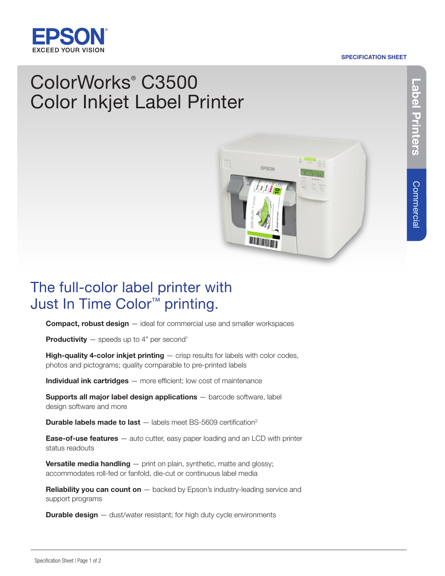## **EXCEED YOUR VISION**

#### SPECIFICATION SHEET

# Label Printers Label Printers

## ColorWorks® C3500 Color Inkjet Label Printer



### The full-color label printer with Just In Time Color™ printing.

**Compact, robust design** – ideal for commercial use and smaller workspaces

**Productivity**  $-$  speeds up to 4" per second<sup>1</sup>

High-quality 4-color inkjet printing  $-$  crisp results for labels with color codes, photos and pictograms; quality comparable to pre-printed labels

Individual ink cartridges – more efficient; low cost of maintenance

Supports all major label design applications - barcode software, label design software and more

**Durable labels made to last**  $-$  labels meet BS-5609 certification<sup>2</sup>

**Ease-of-use features** — auto cutter, easy paper loading and an LCD with printer status readouts

**Versatile media handling** - print on plain, synthetic, matte and glossy; accommodates roll-fed or fanfold, die-cut or continuous label media

**Reliability you can count on**  $-$  backed by Epson's industry-leading service and support programs

**Durable design** - dust/water resistant; for high duty cycle environments